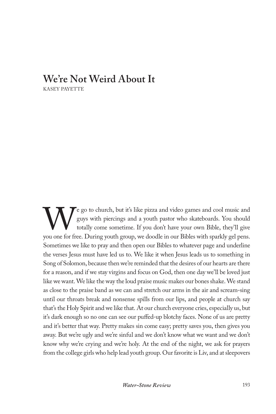## **We're Not Weird About It**

KASEY PAYETTE

Equivalently contained to church, but it's like pizza and video games and cool music and guys with piercings and a youth pastor who skateboards. You should totally come sometime. If you don't have your own Bible, they'll g guys with piercings and a youth pastor who skateboards. You should totally come sometime. If you don't have your own Bible, they'll give you one for free. During youth group, we doodle in our Bibles with sparkly gel pens. Sometimes we like to pray and then open our Bibles to whatever page and underline the verses Jesus must have led us to. We like it when Jesus leads us to something in Song of Solomon, because then we're reminded that the desires of our hearts are there for a reason, and if we stay virgins and focus on God, then one day we'll be loved just like we want. We like the way the loud praise music makes our bones shake. We stand as close to the praise band as we can and stretch our arms in the air and scream-sing until our throats break and nonsense spills from our lips, and people at church say that's the Holy Spirit and we like that. At our church everyone cries, especially us, but it's dark enough so no one can see our puffed-up blotchy faces. None of us are pretty and it's better that way. Pretty makes sin come easy; pretty saves you, then gives you away. But we're ugly and we're sinful and we don't know what we want and we don't know why we're crying and we're holy. At the end of the night, we ask for prayers from the college girls who help lead youth group. Our favorite is Liv, and at sleepovers